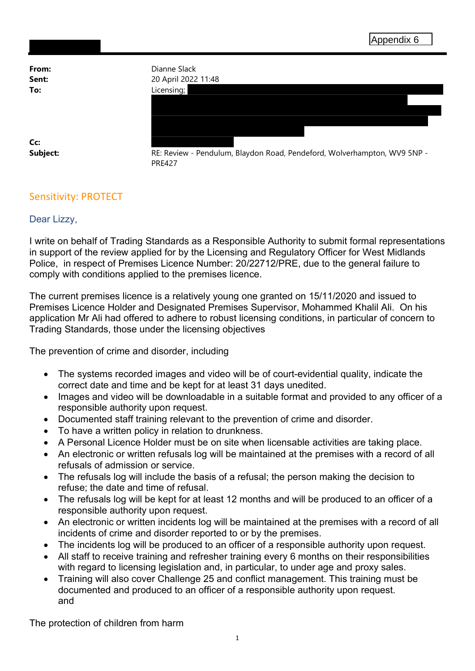From: Dianne Slack **Sent:** 20 April 2022 11:48 To: Licensing; Cc: Subject: RE: Review - Pendulum, Blaydon Road, Pendeford, Wolverhampton, WV9 5NP -PRE427

## Sensitivity: PROTECT

## Dear Lizzy,

I write on behalf of Trading Standards as a Responsible Authority to submit formal representations in support of the review applied for by the Licensing and Regulatory Officer for West Midlands Police, in respect of Premises Licence Number: 20/22712/PRE, due to the general failure to comply with conditions applied to the premises licence.

The current premises licence is a relatively young one granted on 15/11/2020 and issued to Premises Licence Holder and Designated Premises Supervisor, Mohammed Khalil Ali. On his application Mr Ali had offered to adhere to robust licensing conditions, in particular of concern to Trading Standards, those under the licensing objectives

The prevention of crime and disorder, including

- The systems recorded images and video will be of court-evidential quality, indicate the correct date and time and be kept for at least 31 days unedited.
- Images and video will be downloadable in a suitable format and provided to any officer of a responsible authority upon request.
- Documented staff training relevant to the prevention of crime and disorder.
- To have a written policy in relation to drunkness.
- A Personal Licence Holder must be on site when licensable activities are taking place.
- An electronic or written refusals log will be maintained at the premises with a record of all refusals of admission or service.
- The refusals log will include the basis of a refusal; the person making the decision to refuse; the date and time of refusal.
- The refusals log will be kept for at least 12 months and will be produced to an officer of a responsible authority upon request.
- An electronic or written incidents log will be maintained at the premises with a record of all incidents of crime and disorder reported to or by the premises.
- The incidents log will be produced to an officer of a responsible authority upon request.
- All staff to receive training and refresher training every 6 months on their responsibilities with regard to licensing legislation and, in particular, to under age and proxy sales.
- Training will also cover Challenge 25 and conflict management. This training must be documented and produced to an officer of a responsible authority upon request. and

The protection of children from harm